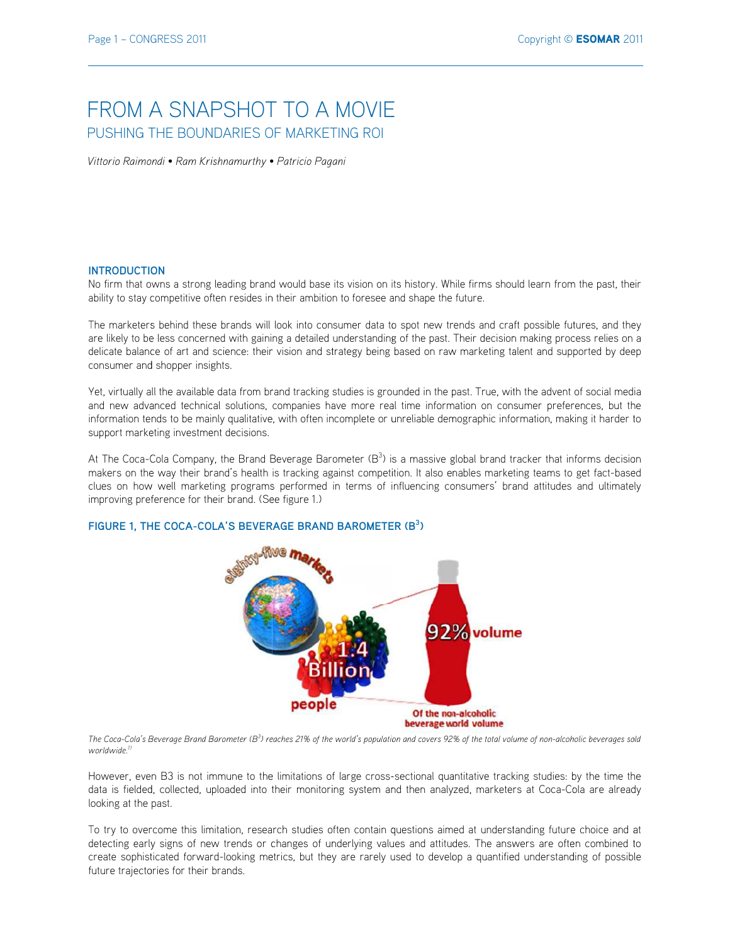# FROM A SNAPSHOT TO A MOVIF PUSHING THE BOUNDARIES OF MARKETING ROI

Vittorio Raimondi • Ram Krishnamurthy • Patricio Pagani

### **INTRODUCTION**

No firm that owns a strong leading brand would base its vision on its history. While firms should learn from the past, their ability to stay competitive often resides in their ambition to foresee and shape the future.

The marketers behind these brands will look into consumer data to spot new trends and craft possible futures, and they are likely to be less concerned with gaining a detailed understanding of the past. Their decision making process relies on a delicate balance of art and science: their vision and strategy being based on raw marketing talent and supported by deep consumer and shopper insights.

Yet, virtually all the available data from brand tracking studies is grounded in the past. True, with the advent of social media and new advanced technical solutions, companies have more real time information on consumer preferences, but the information tends to be mainly qualitative, with often incomplete or unreliable demographic information, making it harder to support marketing investment decisions.

At The Coca-Cola Company, the Brand Beverage Barometer  $(B^3)$  is a massive global brand tracker that informs decision makers on the way their brand's health is tracking against competition. It also enables marketing teams to get fact-based clues on how well marketing programs performed in terms of influencing consumers' brand attitudes and ultimately improving preference for their brand. (See figure 1.)

# FIGURE 1, THE COCA-COLA'S BEVERAGE BRAND BAROMETER (B<sup>3</sup>)



The Coca-Cola's Beverage Brand Barometer  $(B^3)$  reaches 21% of the world's population and covers 92% of the total volume of non-alcoholic beverages sold worldwide<sup>1</sup>

However, even B3 is not immune to the limitations of large cross-sectional quantitative tracking studies: by the time the data is fielded, collected, uploaded into their monitoring system and then analyzed, marketers at Coca-Cola are already looking at the past.

To try to overcome this limitation, research studies often contain questions aimed at understanding future choice and at detecting early signs of new trends or changes of underlying values and attitudes. The answers are often combined to create sophisticated forward-looking metrics, but they are rarely used to develop a quantified understanding of possible future trajectories for their brands.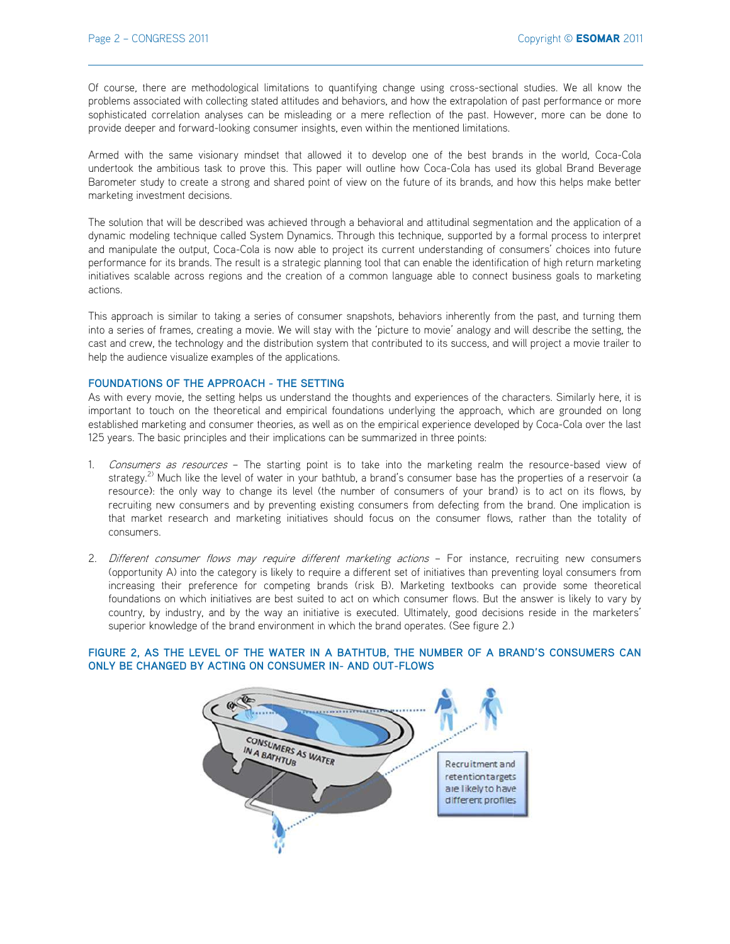Of course, there are methodological limitations to quantifying change using cross-sectional studies. We all know the problems associated with collecting stated attitudes and behaviors, and how the extrapolation of past performance or more sophisticated correlation analyses can be misleading or a mere reflection of the past. However, more can be done to provide deeper and forward-looking consumer insights, even within the mentioned limitations.

Armed with the same visionary mindset that allowed it to develop one of the best brands in the world, Coca-Cola undertook the ambitious task to prove this. This paper will outline how Coca-Cola has used its global Brand Beverage Barometer study to create a strong and shared point of view on the future of its brands, and how this helps make better marketing investment decisions.

The solution that will be described was achieved through a behavioral and attitudinal segmentation and the application of a dynamic modeling technique called System Dynamics. Through this technique, supported by a formal process to interpret and manipulate the output, Coca-Cola is now able to project its current understanding of consumers' choices into future performance for its brands. The result is a strategic planning tool that can enable the identification of high return marketing initiatives scalable across regions and the creation of a common language able to connect business goals to marketing actions.

This approach is similar to taking a series of consumer snapshots, behaviors inherently from the past, and turning them into a series of frames, creating a movie. We will stay with the 'picture to movie' analogy and will describe the setting, the cast and crew, the technology and the distribution system that contributed to its success, and will project a movie trailer to help the audience visualize examples of the applications.

#### FOUNDATIONS OF THE APPROACH - THE SETTING

As with every movie, the setting helps us understand the thoughts and experiences of the characters. Similarly here, it is important to touch on the theoretical and empirical foundations underlying the approach, which are grounded on long established marketing and consumer theories, as well as on the empirical experience developed by Coca-Cola over the last 125 years. The basic principles and their implications can be summarized in three points:

- 1. Consumers as resources The starting point is to take into the marketing realm the resource-based view of strategy.<sup>2)</sup> Much like the level of water in your bathtub, a brand's consumer base has the properties of a reservoir (a resource): the only way to change its level (the number of consumers of your brand) is to act on its flows, by recruiting new consumers and by preventing existing consumers from defecting from the brand. One implication is that market research and marketing initiatives should focus on the consumer flows, rather than the totality of consumers.
- 2. Different consumer flows may require different marketing actions For instance, recruiting new consumers (opportunity A) into the category is likely to require a different set of initiatives than preventing loyal consumers from increasing their preference for competing brands (risk B). Marketing textbooks can provide some theoretical foundations on which initiatives are best suited to act on which consumer flows. But the answer is likely to vary by country, by industry, and by the way an initiative is executed. Ultimately, good decisions reside in the marketers' superior knowledge of the brand environment in which the brand operates. (See figure 2.)

# FIGURE 2, AS THE LEVEL OF THE WATER IN A BATHTUB, THE NUMBER OF A BRAND'S CONSUMERS CAN ONLY BE CHANGED BY ACTING ON CONSUMER IN- AND OUT-FLOWS

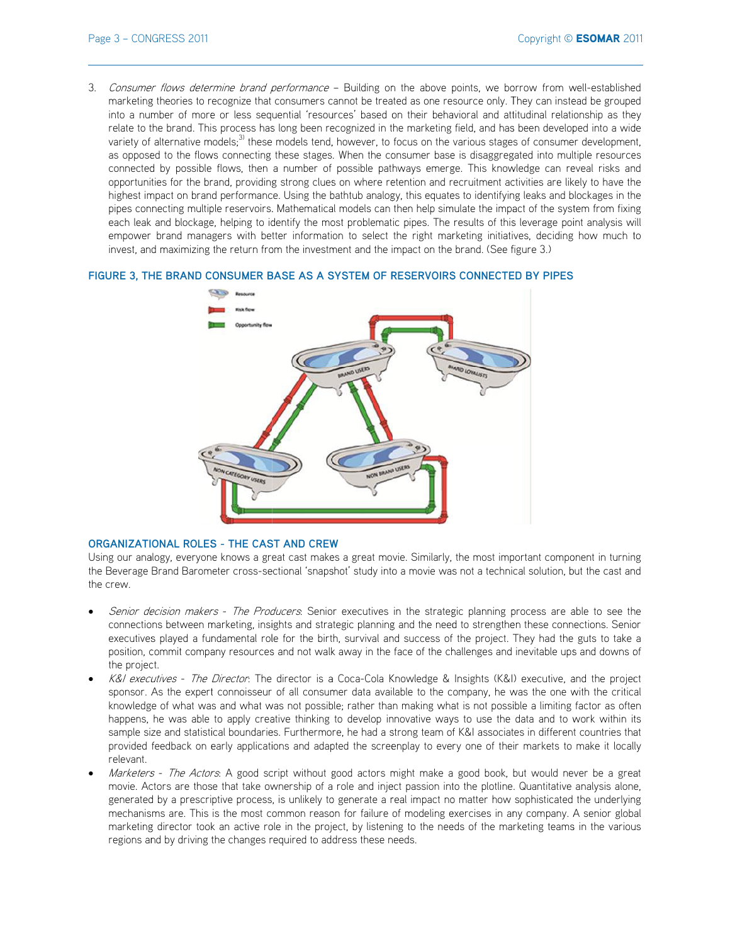3. Consumer flows determine brand performance - Building on the above points, we borrow from well-established marketing theories to recognize that consumers cannot be treated as one resource only. They can instead be grouped into a number of more or less sequential 'resources' based on their behavioral and attitudinal relationship as they relate to the brand. This process has long been recognized in the marketing field, and has been developed into a wide variety of alternative models;<sup>3)</sup> these models tend, however, to focus on the various stages of consumer development, as opposed to the flows connecting these stages. When the consumer base is disaggregated into multiple resources connected by possible flows, then a number of possible pathways emerge. This knowledge can reveal risks and opportunities for the brand, providing strong clues on where retention and recruitment activities are likely to have the highest impact on brand performance. Using the bathtub analogy, this equates to identifying leaks and blockages in the pipes connecting multiple reservoirs. Mathematical models can then help simulate the impact of the system from fixing each leak and blockage, helping to identify the most problematic pipes. The results of this leverage point analysis will empower brand managers with better information to select the right marketing initiatives, deciding how much to invest, and maximizing the return from the investment and the impact on the brand. (See figure 3.)

# FIGURE 3, THE BRAND CONSUMER BASE AS A SYSTEM OF RESERVOIRS CONNECTED BY PIPES



## ORGANIZATIONAL ROLES - THE CAST AND CREW

Using our analogy, everyone knows a great cast makes a great movie. Similarly, the most important component in turning the Beverage Brand Barometer cross-sectional 'snapshot' study into a movie was not a technical solution, but the cast and the crew.

- Senior decision makers The Producers. Senior executives in the strategic planning process are able to see the connections between marketing, insights and strategic planning and the need to strengthen these connections. Senior executives played a fundamental role for the birth, survival and success of the project. They had the guts to take a position, commit company resources and not walk away in the face of the challenges and inevitable ups and downs of the project.
- K&I executives The Director: The director is a Coca-Cola Knowledge & Insights (K&I) executive, and the project sponsor. As the expert connoisseur of all consumer data available to the company, he was the one with the critical knowledge of what was and what was not possible; rather than making what is not possible a limiting factor as often happens, he was able to apply creative thinking to develop innovative ways to use the data and to work within its sample size and statistical boundaries. Furthermore, he had a strong team of K&I associates in different countries that provided feedback on early applications and adapted the screenplay to every one of their markets to make it locally relevant.
- Marketers The Actors. A good script without good actors might make a good book, but would never be a great movie. Actors are those that take ownership of a role and inject passion into the plotline. Quantitative analysis alone, generated by a prescriptive process, is unlikely to generate a real impact no matter how sophisticated the underlying mechanisms are. This is the most common reason for failure of modeling exercises in any company. A senior global marketing director took an active role in the project, by listening to the needs of the marketing teams in the various regions and by driving the changes required to address these needs.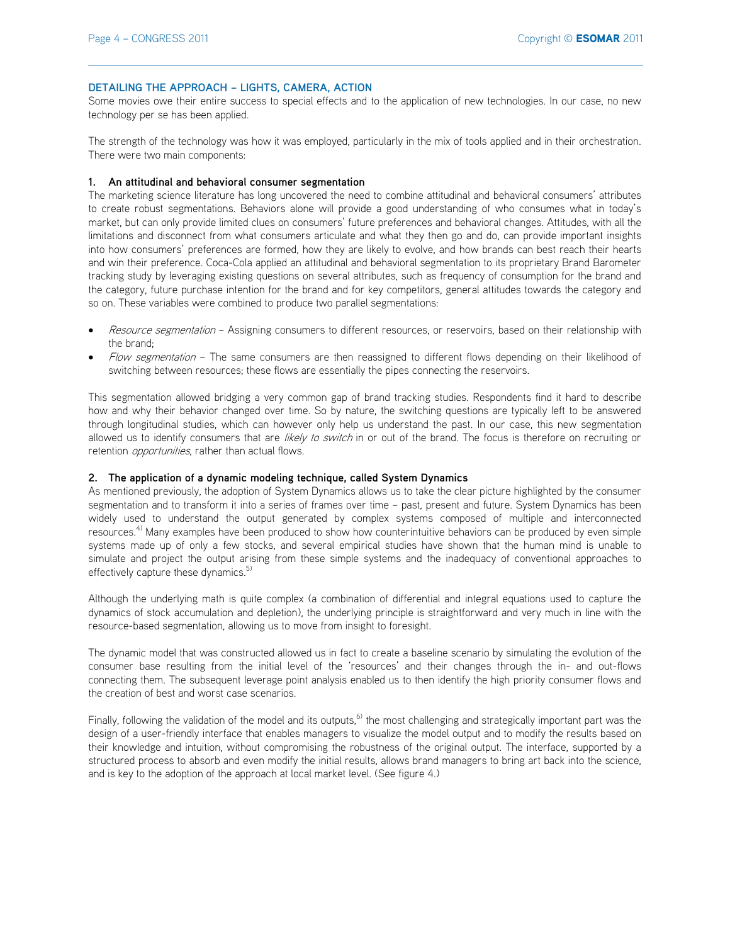#### **DETAILING THE APPROACH - LIGHTS, CAMERA, ACTION**

Some movies owe their entire success to special effects and to the application of new technologies. In our case, no new technology per se has been applied.

The strength of the technology was how it was employed, particularly in the mix of tools applied and in their orchestration. There were two main components:

#### **1. An attitudinal and behavioral consumer segmentation**

The marketing science literature has long uncovered the need to combine attitudinal and behavioral consumers' attributes to create robust segmentations. Behaviors alone will provide a good understanding of who consumes what in today's market, but can only provide limited clues on consumers' future preferences and behavioral changes. Attitudes, with all the limitations and disconnect from what consumers articulate and what they then go and do, can provide important insights into how consumers' preferences are formed, how they are likely to evolve, and how brands can best reach their hearts and win their preference. Coca-Cola applied an attitudinal and behavioral segmentation to its proprietary Brand Barometer tracking study by leveraging existing questions on several attributes, such as frequency of consumption for the brand and the category, future purchase intention for the brand and for key competitors, general attitudes towards the category and so on. These variables were combined to produce two parallel segmentations:

- Resource segmentation Assigning consumers to different resources, or reservoirs, based on their relationship with the brand;
- Flow segmentation The same consumers are then reassigned to different flows depending on their likelihood of switching between resources; these flows are essentially the pipes connecting the reservoirs.

This segmentation allowed bridging a very common gap of brand tracking studies. Respondents find it hard to describe how and why their behavior changed over time. So by nature, the switching questions are typically left to be answered through longitudinal studies, which can however only help us understand the past. In our case, this new segmentation allowed us to identify consumers that are likely to switch in or out of the brand. The focus is therefore on recruiting or retention *opportunities*, rather than actual flows.

#### **2. The application of a dynamic modeling technique, called System Dynamics**

As mentioned previously, the adoption of System Dynamics allows us to take the clear picture highlighted by the consumer segmentation and to transform it into a series of frames over time - past, present and future. System Dynamics has been widely used to understand the output generated by complex systems composed of multiple and interconnected resources.<sup>4)</sup> Many examples have been produced to show how counterintuitive behaviors can be produced by even simple systems made up of only a few stocks, and several empirical studies have shown that the human mind is unable to simulate and project the output arising from these simple systems and the inadequacy of conventional approaches to effectively capture these dynamics.<sup>5)</sup>

Although the underlying math is quite complex (a combination of differential and integral equations used to capture the dynamics of stock accumulation and depletion), the underlying principle is straightforward and very much in line with the resource-based segmentation, allowing us to move from insight to foresight.

The dynamic model that was constructed allowed us in fact to create a baseline scenario by simulating the evolution of the consumer base resulting from the initial level of the 'resources' and their changes through the in- and out-flows connecting them. The subsequent leverage point analysis enabled us to then identify the high priority consumer flows and the creation of best and worst case scenarios.

Finally, following the validation of the model and its outputs,<sup>6)</sup> the most challenging and strategically important part was the design of a user-friendly interface that enables managers to visualize the model output and to modify the results based on their knowledge and intuition, without compromising the robustness of the original output. The interface, supported by a structured process to absorb and even modify the initial results, allows brand managers to bring art back into the science, and is key to the adoption of the approach at local market level. (See figure 4.)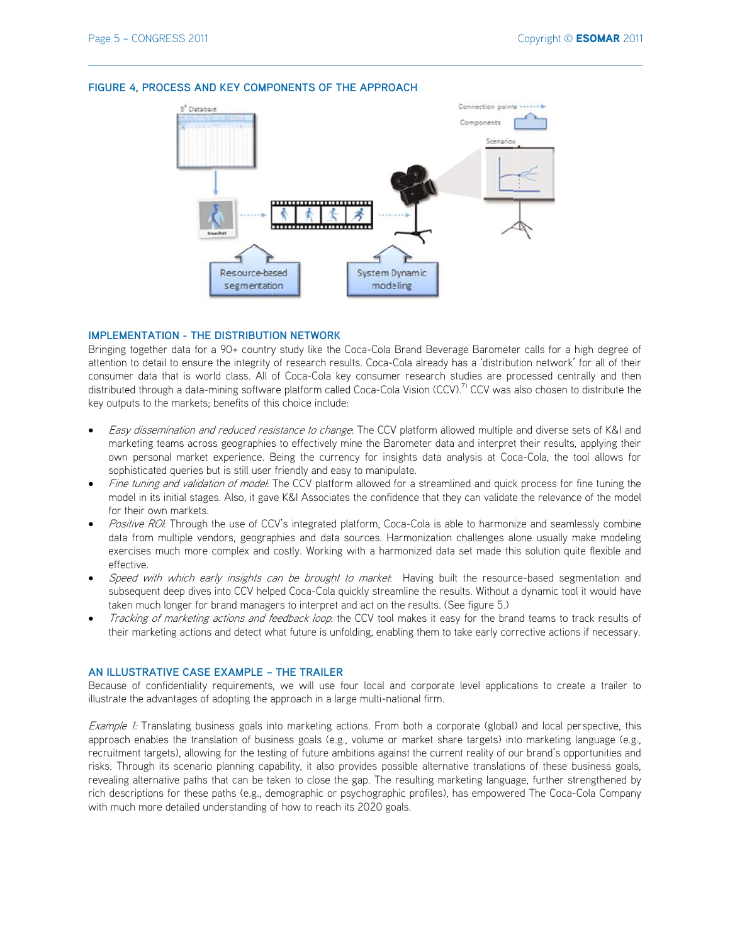

#### FIGURE 4, PROCESS AND KEY COMPONENTS OF THE APPROACH

#### **IMPLEMENTATION - THE DISTRIBUTION NETWORK**

Bringing together data for a 90+ country study like the Coca-Cola Brand Beverage Barometer calls for a high degree of attention to detail to ensure the integrity of research results. Coca-Cola already has a 'distribution network' for all of their consumer data that is world class. All of Coca-Cola key consumer research studies are processed centrally and then distributed through a data-mining software platform called Coca-Cola Vision (CCV).<sup>7</sup> CCV was also chosen to distribute the key outputs to the markets; benefits of this choice include:

- Easy dissemination and reduced resistance to change. The CCV platform allowed multiple and diverse sets of K&I and marketing teams across geographies to effectively mine the Barometer data and interpret their results, applying their own personal market experience. Being the currency for insights data analysis at Coca-Cola, the tool allows for sophisticated queries but is still user friendly and easy to manipulate.
- Fine tuning and validation of model. The CCV platform allowed for a streamlined and quick process for fine tuning the model in its initial stages. Also, it gave K&I Associates the confidence that they can validate the relevance of the model for their own markets.
- Positive ROI: Through the use of CCV's integrated platform, Coca-Cola is able to harmonize and seamlessly combine data from multiple vendors, geographies and data sources. Harmonization challenges alone usually make modeling exercises much more complex and costly. Working with a harmonized data set made this solution quite flexible and effective.
- Speed with which early insights can be brought to market. Having built the resource-based segmentation and subsequent deep dives into CCV helped Coca-Cola quickly streamline the results. Without a dynamic tool it would have taken much longer for brand managers to interpret and act on the results. (See figure 5.)
- Tracking of marketing actions and feedback loop: the CCV tool makes it easy for the brand teams to track results of their marketing actions and detect what future is unfolding, enabling them to take early corrective actions if necessary.

#### AN ILLUSTRATIVE CASE EXAMPLE - THE TRAILER

Because of confidentiality requirements, we will use four local and corporate level applications to create a trailer to illustrate the advantages of adopting the approach in a large multi-national firm.

Example 1: Translating business goals into marketing actions. From both a corporate (global) and local perspective, this approach enables the translation of business goals (e.g., volume or market share targets) into marketing language (e.g., recruitment targets), allowing for the testing of future ambitions against the current reality of our brand's opportunities and risks. Through its scenario planning capability, it also provides possible alternative translations of these business goals, revealing alternative paths that can be taken to close the gap. The resulting marketing language, further strengthened by rich descriptions for these paths (e.g., demographic or psychographic profiles), has empowered The Coca-Cola Company with much more detailed understanding of how to reach its 2020 goals.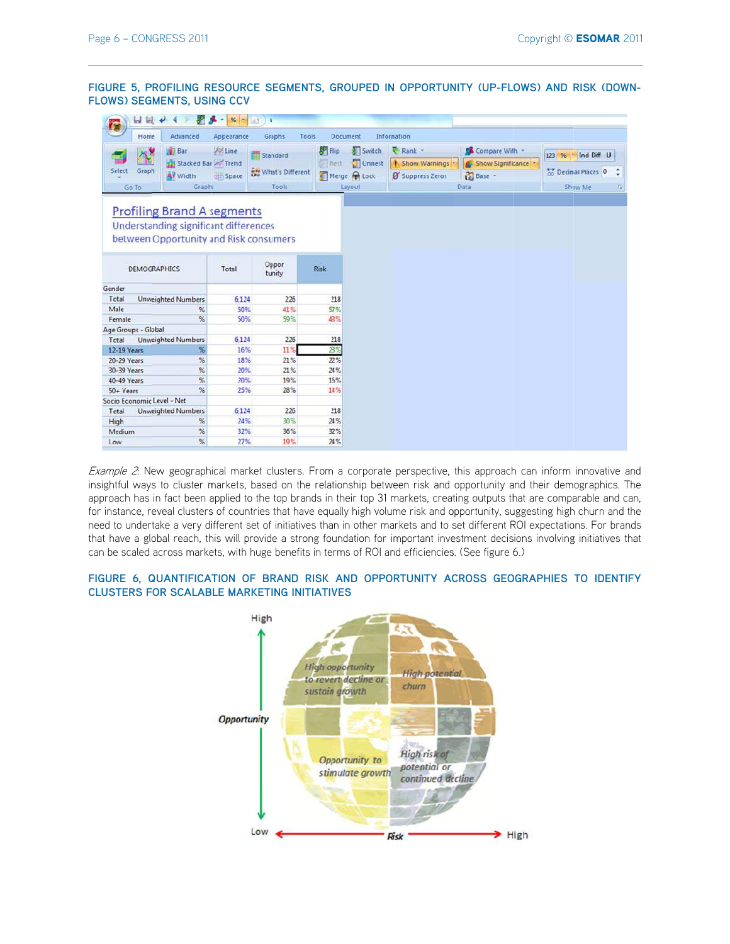**FIGURE 5, PROFILING RESOURCE SEGMENTS, GROUPED IN OPPORTUNITY (UP-FLOWS) AND RISK (DOWN-FLOWS) SEGMENTS, USING CCV** 

| D<br>HH                                                                    | 屛<br>$\tau$       | $%$ -        | ×<br><b>GAS</b>            |              |        |                  |                   |                             |
|----------------------------------------------------------------------------|-------------------|--------------|----------------------------|--------------|--------|------------------|-------------------|-----------------------------|
| Home<br>Advanced                                                           |                   | Appearance   | Graphs<br>Tools            | Document     |        | Information      |                   |                             |
| <b>Bar</b>                                                                 |                   | A Line       | Standard                   | Flip         | Switch | Rank -           | Compare With -    | 123 % v Ind Diff U          |
|                                                                            | Stacked Bar Trend |              |                            | I Nest       | Unnest | Show Warnings    | Show Significance |                             |
| Select<br>Graph<br><b>Av Width</b>                                         |                   | <b>Space</b> | <b>KH</b> What's Different | Merge & Lock |        | Ø Suppress Zeros | <b>M</b> Base     | <b>The Decimal Places 0</b> |
| Go To<br>Graphs                                                            |                   | <b>Tools</b> |                            | Layout       |        | Data             |                   | Show Me                     |
| <b>Profiling Brand A segments</b><br>Understanding significant differences |                   |              |                            |              |        |                  |                   |                             |
| between Opportunity and Risk consumers                                     |                   |              |                            |              |        |                  |                   |                             |
| <b>DEMOGRAPHICS</b>                                                        |                   | Total        | Oppor<br>tunity            | <b>Risk</b>  |        |                  |                   |                             |
| Gender                                                                     |                   |              |                            |              |        |                  |                   |                             |
| Total<br><b>Unweighted Numbers</b>                                         |                   | 6.124        | 226                        | 218          |        |                  |                   |                             |
| Male                                                                       | $\frac{9}{6}$     | 50%          | 41%                        | 57%          |        |                  |                   |                             |
| Female                                                                     | %                 | 50%          | 59%                        | 43%          |        |                  |                   |                             |
| Age Groups - Global                                                        |                   |              |                            |              |        |                  |                   |                             |
| <b>Unweighted Numbers</b><br>Total                                         |                   | 6,124        | 226                        | 218          |        |                  |                   |                             |
| 12-19 Years                                                                | %                 | 16%          | 11%                        | 23%          |        |                  |                   |                             |
| 20-29 Years                                                                | %                 | 18%          | 21%                        | 22%          |        |                  |                   |                             |
| 30-39 Years                                                                | %                 | 20%          | 21%                        | 24%          |        |                  |                   |                             |
| 40-49 Years                                                                | %                 | 20%          | 19%                        | 15%          |        |                  |                   |                             |
| 50+ Years                                                                  | %                 | 25%          | 28%                        | 14%          |        |                  |                   |                             |
| Socio Economic Level - Net                                                 |                   |              |                            |              |        |                  |                   |                             |
| Total<br><b>Unweighted Numbers</b>                                         |                   | 6,124        | 226                        | 218          |        |                  |                   |                             |
| High                                                                       | %                 | 24%          | 30%                        | 24%          |        |                  |                   |                             |
| Medium                                                                     | %                 | 32%          | 36%                        | 32%          |        |                  |                   |                             |
| Low                                                                        | %                 | 27%          | 19%                        | 24%          |        |                  |                   |                             |

Example 2: New geographical market clusters. From a corporate perspective, this approach can inform innovative and insightful ways to cluster markets, based on the relationship between risk and opportunity and their demographics. The approach has in fact been applied to the top brands in their top 31 markets, creating outputs that are comparable and can, for instance, reveal clusters of countries that have equally high volume risk and opportunity, suggesting high churn and the need to undertake a very different set of initiatives than in other markets and to set different ROI expectations. For brands that have a global reach, this will provide a strong foundation for important investment decisions involving initiatives that can be scaled across markets, with huge benefits in terms of ROI and efficiencies. (See figure 6.)

## FIGURE 6, QUANTIFICATION OF BRAND RISK AND OPPORTUNITY ACROSS GEOGRAPHIES TO IDENTIFY **CLUSTERS FOR SCALABLE MARKETING INITIATIVES**

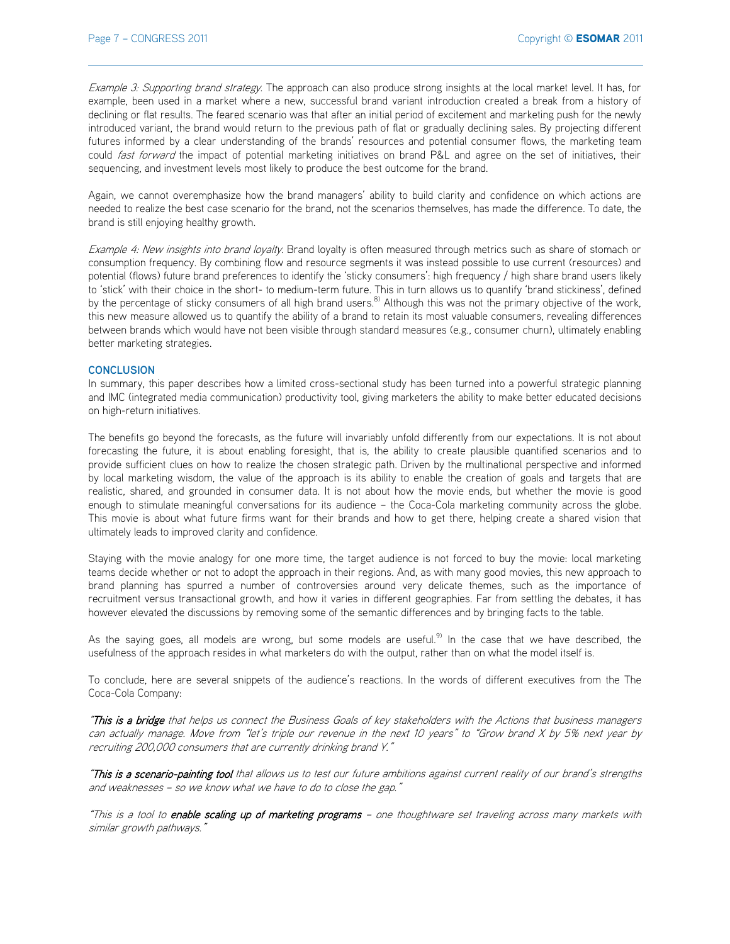Example 3: Supporting brand strategy. The approach can also produce strong insights at the local market level. It has, for example, been used in a market where a new, successful brand variant introduction created a break from a history of declining or flat results. The feared scenario was that after an initial period of excitement and marketing push for the newly introduced variant, the brand would return to the previous path of flat or gradually declining sales. By projecting different futures informed by a clear understanding of the brands' resources and potential consumer flows, the marketing team could fast forward the impact of potential marketing initiatives on brand P&L and agree on the set of initiatives, their sequencing, and investment levels most likely to produce the best outcome for the brand.

Again, we cannot overemphasize how the brand managers' ability to build clarity and confidence on which actions are needed to realize the best case scenario for the brand, not the scenarios themselves, has made the difference. To date, the brand is still enjoying healthy growth.

Example 4: New insights into brand loyalty. Brand loyalty is often measured through metrics such as share of stomach or consumption frequency. By combining flow and resource segments it was instead possible to use current (resources) and potential (flows) future brand preferences to identify the 'sticky consumers': high frequency / high share brand users likely to 'stick' with their choice in the short- to medium-term future. This in turn allows us to quantify 'brand stickiness', defined by the percentage of sticky consumers of all high brand users.<sup>8)</sup> Although this was not the primary objective of the work, this new measure allowed us to quantify the ability of a brand to retain its most valuable consumers, revealing differences between brands which would have not been visible through standard measures (e.g., consumer churn), ultimately enabling better marketing strategies.

#### **CONCLUSION**

In summary, this paper describes how a limited cross-sectional study has been turned into a powerful strategic planning and IMC (integrated media communication) productivity tool, giving marketers the ability to make better educated decisions on high-return initiatives.

The benefits go beyond the forecasts, as the future will invariably unfold differently from our expectations. It is not about forecasting the future, it is about enabling foresight, that is, the ability to create plausible quantified scenarios and to provide sufficient clues on how to realize the chosen strategic path. Driven by the multinational perspective and informed by local marketing wisdom, the value of the approach is its ability to enable the creation of goals and targets that are realistic, shared, and grounded in consumer data. It is not about how the movie ends, but whether the movie is good enough to stimulate meaningful conversations for its audience - the Coca-Cola marketing community across the globe. This movie is about what future firms want for their brands and how to get there, helping create a shared vision that ultimately leads to improved clarity and confidence.

Staying with the movie analogy for one more time, the target audience is not forced to buy the movie: local marketing teams decide whether or not to adopt the approach in their regions. And, as with many good movies, this new approach to brand planning has spurred a number of controversies around very delicate themes, such as the importance of recruitment versus transactional growth, and how it varies in different geographies. Far from settling the debates, it has however elevated the discussions by removing some of the semantic differences and by bringing facts to the table.

As the saying goes, all models are wrong, but some models are useful.<sup>9)</sup> In the case that we have described, the usefulness of the approach resides in what marketers do with the output, rather than on what the model itself is.

To conclude, here are several snippets of the audience's reactions. In the words of different executives from the The Coca-Cola Company:

"This is a bridge that helps us connect the Business Goals of key stakeholders with the Actions that business managers can actually manage. Move from "let's triple our revenue in the next 10 years" to "Grow brand X by 5% next year by recruiting 200,000 consumers that are currently drinking brand Y."

"This is a scenario-painting tool that allows us to test our future ambitions against current reality of our brand's strengths and weaknesses - so we know what we have to do to close the gap."

"This is a tool to enable scaling up of marketing programs - one thoughtware set traveling across many markets with similar growth pathways.'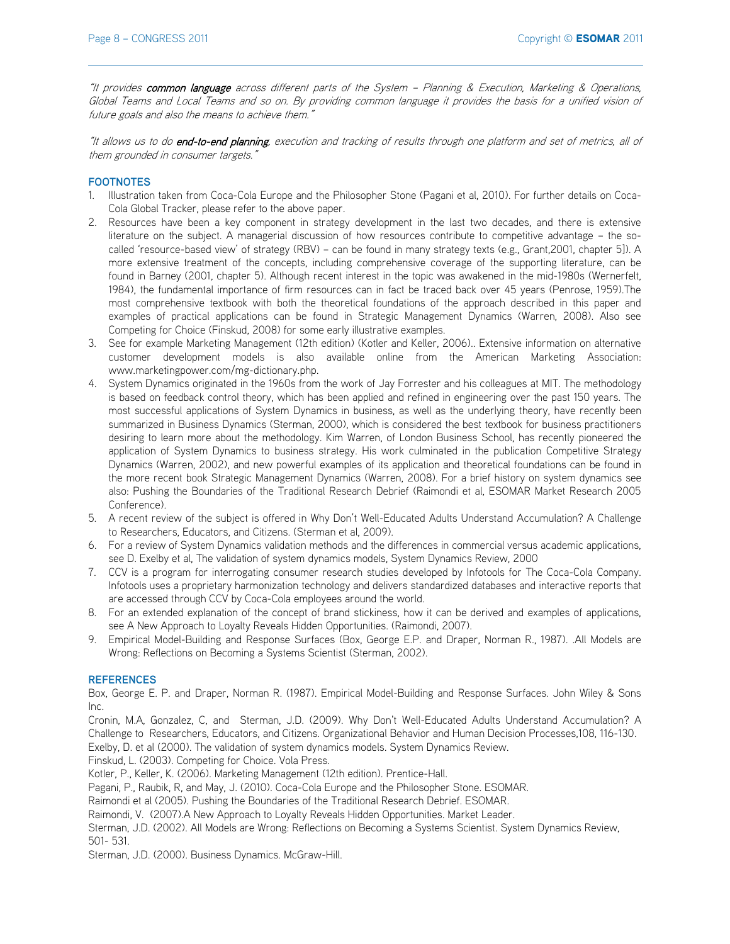"It provides common language across different parts of the System - Planning & Execution, Marketing & Operations, Global Teams and Local Teams and so on. By providing common language it provides the basis for a unified vision of future goals and also the means to achieve them."

"It allows us to do end-to-end planning, execution and tracking of results through one platform and set of metrics, all of them grounded in consumer targets."

# **FOOTNOTES**

- 1. Illustration taken from Coca-Cola Europe and the Philosopher Stone (Pagani et al, 2010). For further details on Coca-Cola Global Tracker, please refer to the above paper.
- 2. Resources have been a key component in strategy development in the last two decades, and there is extensive literature on the subject. A managerial discussion of how resources contribute to competitive advantage - the socalled 'resource-based view' of strategy (RBV) - can be found in many strategy texts (e.g., Grant,2001, chapter 5]). A more extensive treatment of the concepts, including comprehensive coverage of the supporting literature, can be found in Barney (2001, chapter 5). Although recent interest in the topic was awakened in the mid-1980s (Wernerfelt, 1984), the fundamental importance of firm resources can in fact be traced back over 45 years (Penrose, 1959).The most comprehensive textbook with both the theoretical foundations of the approach described in this paper and examples of practical applications can be found in Strategic Management Dynamics (Warren, 2008). Also see Competing for Choice (Finskud, 2008) for some early illustrative examples.
- 3. See for example Marketing Management (12th edition) (Kotler and Keller, 2006).. Extensive information on alternative customer development models is also available online from the American Marketing Association: www.marketingpower.com/mg-dictionary.php.
- 4. System Dynamics originated in the 1960s from the work of Jay Forrester and his colleagues at MIT. The methodology is based on feedback control theory, which has been applied and refined in engineering over the past 150 years. The most successful applications of System Dynamics in business, as well as the underlying theory, have recently been summarized in Business Dynamics (Sterman, 2000), which is considered the best textbook for business practitioners desiring to learn more about the methodology. Kim Warren, of London Business School, has recently pioneered the application of System Dynamics to business strategy. His work culminated in the publication Competitive Strategy Dynamics (Warren, 2002), and new powerful examples of its application and theoretical foundations can be found in the more recent book Strategic Management Dynamics (Warren, 2008). For a brief history on system dynamics see also: Pushing the Boundaries of the Traditional Research Debrief (Raimondi et al, ESOMAR Market Research 2005 Conference).
- 5. A recent review of the subject is offered in Why Don't Well-Educated Adults Understand Accumulation? A Challenge to Researchers, Educators, and Citizens. (Sterman et al, 2009).
- 6. For a review of System Dynamics validation methods and the differences in commercial versus academic applications, see D. Exelby et al, The validation of system dynamics models, System Dynamics Review, 2000
- 7. CCV is a program for interrogating consumer research studies developed by Infotools for The Coca-Cola Company. Infotools uses a proprietary harmonization technology and delivers standardized databases and interactive reports that are accessed through CCV by Coca-Cola employees around the world.
- 8. For an extended explanation of the concept of brand stickiness, how it can be derived and examples of applications, see A New Approach to Loyalty Reveals Hidden Opportunities. (Raimondi, 2007).
- 9. Empirical Model-Building and Response Surfaces (Box, George E.P. and Draper, Norman R., 1987). .All Models are Wrong: Reflections on Becoming a Systems Scientist (Sterman, 2002).

## **REFERENCES**

Box, George E. P. and Draper, Norman R. (1987). Empirical Model-Building and Response Surfaces. John Wiley & Sons Inc.

Cronin, M.A, Gonzalez, C, and Sterman, J.D. (2009). Why Don't Well-Educated Adults Understand Accumulation? A Challenge to Researchers, Educators, and Citizens. Organizational Behavior and Human Decision Processes,108, 116-130. Exelby, D. et al (2000). The validation of system dynamics models. System Dynamics Review.

Finskud, L. (2003). Competing for Choice. Vola Press.

Kotler, P., Keller, K. (2006). Marketing Management (12th edition). Prentice-Hall.

Pagani, P., Raubik, R, and May, J. (2010). Coca-Cola Europe and the Philosopher Stone. ESOMAR.

Raimondi et al (2005). Pushing the Boundaries of the Traditional Research Debrief. ESOMAR.

Raimondi, V. (2007).A New Approach to Loyalty Reveals Hidden Opportunities. Market Leader.

Sterman, J.D. (2002). All Models are Wrong: Reflections on Becoming a Systems Scientist. System Dynamics Review, 501- 531.

Sterman, J.D. (2000). Business Dynamics. McGraw-Hill.